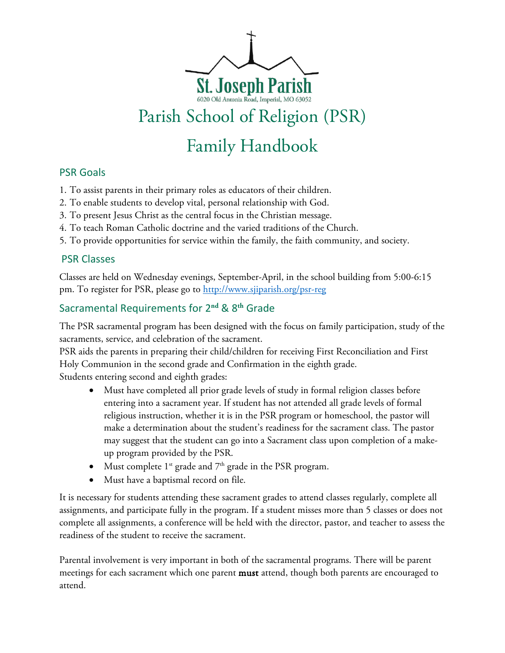

# Family Handbook

# PSR Goals

- 1. To assist parents in their primary roles as educators of their children.
- 2. To enable students to develop vital, personal relationship with God.
- 3. To present Jesus Christ as the central focus in the Christian message.
- 4. To teach Roman Catholic doctrine and the varied traditions of the Church.
- 5. To provide opportunities for service within the family, the faith community, and society.

## PSR Classes

Classes are held on Wednesday evenings, September-April, in the school building from 5:00-6:15 pm. To register for PSR, please go to [http://www.sjiparish.org/psr-reg](http://www.stjosephimperial.org/psr-reg)

# Sacramental Requirements for 2**nd** & 8**th** Grade

The PSR sacramental program has been designed with the focus on family participation, study of the sacraments, service, and celebration of the sacrament.

PSR aids the parents in preparing their child/children for receiving First Reconciliation and First Holy Communion in the second grade and Confirmation in the eighth grade. Students entering second and eighth grades:

- Must have completed all prior grade levels of study in formal religion classes before entering into a sacrament year. If student has not attended all grade levels of formal religious instruction, whether it is in the PSR program or homeschool, the pastor will make a determination about the student's readiness for the sacrament class. The pastor may suggest that the student can go into a Sacrament class upon completion of a makeup program provided by the PSR.
- Must complete  $1^{st}$  grade and  $7^{th}$  grade in the PSR program.
- Must have a baptismal record on file.

It is necessary for students attending these sacrament grades to attend classes regularly, complete all assignments, and participate fully in the program. If a student misses more than 5 classes or does not complete all assignments, a conference will be held with the director, pastor, and teacher to assess the readiness of the student to receive the sacrament.

Parental involvement is very important in both of the sacramental programs. There will be parent meetings for each sacrament which one parent **must** attend, though both parents are encouraged to attend.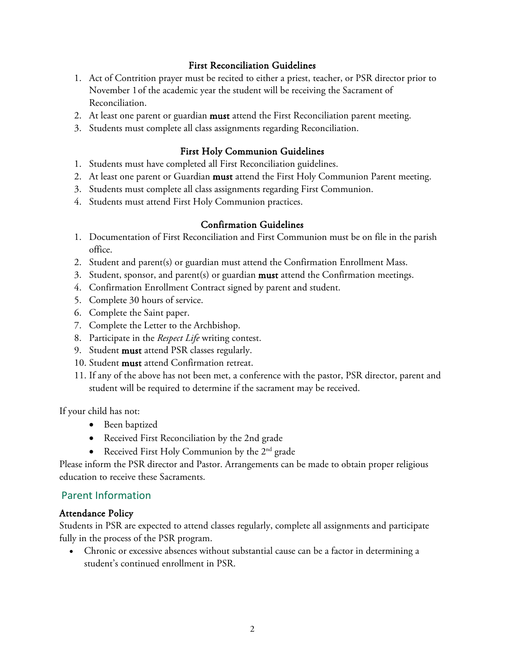#### First Reconciliation Guidelines

- 1. Act of Contrition prayer must be recited to either a priest, teacher, or PSR director prior to November 1of the academic year the student will be receiving the Sacrament of Reconciliation.
- 2. At least one parent or guardian must attend the First Reconciliation parent meeting.
- 3. Students must complete all class assignments regarding Reconciliation.

## First Holy Communion Guidelines

- 1. Students must have completed all First Reconciliation guidelines.
- 2. At least one parent or Guardian must attend the First Holy Communion Parent meeting.
- 3. Students must complete all class assignments regarding First Communion.
- 4. Students must attend First Holy Communion practices.

## Confirmation Guidelines

- 1. Documentation of First Reconciliation and First Communion must be on file in the parish office.
- 2. Student and parent(s) or guardian must attend the Confirmation Enrollment Mass.
- 3. Student, sponsor, and parent(s) or guardian **must** attend the Confirmation meetings.
- 4. Confirmation Enrollment Contract signed by parent and student.
- 5. Complete 30 hours of service.
- 6. Complete the Saint paper.
- 7. Complete the Letter to the Archbishop.
- 8. Participate in the *Respect Life* writing contest.
- 9. Student must attend PSR classes regularly.
- 10. Student must attend Confirmation retreat.
- 11. If any of the above has not been met, a conference with the pastor, PSR director, parent and student will be required to determine if the sacrament may be received.

If your child has not:

- Been baptized
- Received First Reconciliation by the 2nd grade
- Received First Holy Communion by the  $2<sup>nd</sup>$  grade

Please inform the PSR director and Pastor. Arrangements can be made to obtain proper religious education to receive these Sacraments.

# Parent Information

## Attendance Policy

Students in PSR are expected to attend classes regularly, complete all assignments and participate fully in the process of the PSR program.

• Chronic or excessive absences without substantial cause can be a factor in determining a student's continued enrollment in PSR.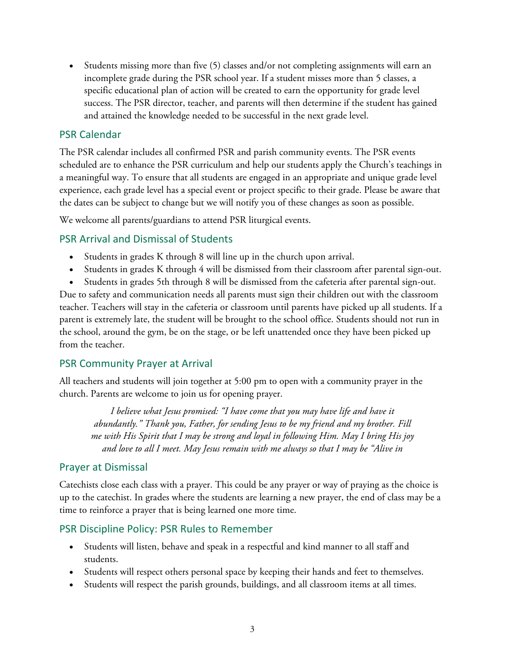• Students missing more than five (5) classes and/or not completing assignments will earn an incomplete grade during the PSR school year. If a student misses more than 5 classes, a specific educational plan of action will be created to earn the opportunity for grade level success. The PSR director, teacher, and parents will then determine if the student has gained and attained the knowledge needed to be successful in the next grade level.

### PSR Calendar

The PSR calendar includes all confirmed PSR and parish community events. The PSR events scheduled are to enhance the PSR curriculum and help our students apply the Church's teachings in a meaningful way. To ensure that all students are engaged in an appropriate and unique grade level experience, each grade level has a special event or project specific to their grade. Please be aware that the dates can be subject to change but we will notify you of these changes as soon as possible.

We welcome all parents/guardians to attend PSR liturgical events.

## PSR Arrival and Dismissal of Students

- Students in grades K through 8 will line up in the church upon arrival.
- Students in grades K through 4 will be dismissed from their classroom after parental sign-out.
- Students in grades 5th through 8 will be dismissed from the cafeteria after parental sign-out.

Due to safety and communication needs all parents must sign their children out with the classroom teacher. Teachers will stay in the cafeteria or classroom until parents have picked up all students. If a parent is extremely late, the student will be brought to the school office. Students should not run in the school, around the gym, be on the stage, or be left unattended once they have been picked up from the teacher.

## PSR Community Prayer at Arrival

All teachers and students will join together at 5:00 pm to open with a community prayer in the church. Parents are welcome to join us for opening prayer.

*I believe what Jesus promised: "I have come that you may have life and have it abundantly." Thank you, Father, for sending Jesus to be my friend and my brother. Fill me with His Spirit that I may be strong and loyal in following Him. May I bring His joy and love to all I meet. May Jesus remain with me always so that I may be "Alive in*

#### Prayer at Dismissal

Catechists close each class with a prayer. This could be any prayer or way of praying as the choice is up to the catechist. In grades where the students are learning a new prayer, the end of class may be a time to reinforce a prayer that is being learned one more time.

#### PSR Discipline Policy: PSR Rules to Remember

- Students will listen, behave and speak in a respectful and kind manner to all staff and students.
- Students will respect others personal space by keeping their hands and feet to themselves.
- Students will respect the parish grounds, buildings, and all classroom items at all times.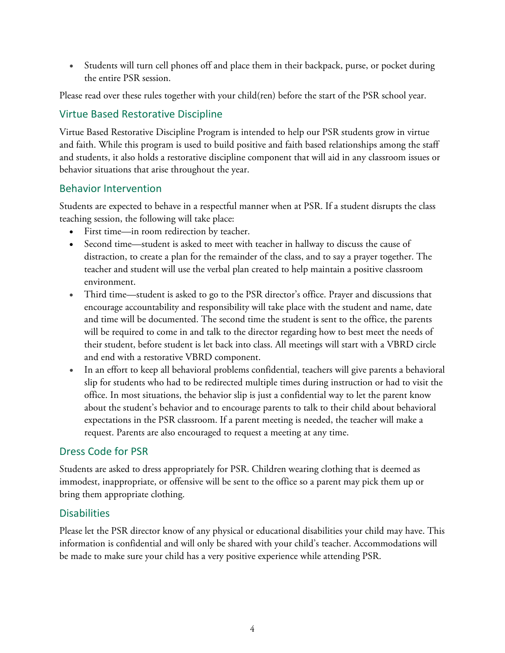• Students will turn cell phones off and place them in their backpack, purse, or pocket during the entire PSR session.

Please read over these rules together with your child(ren) before the start of the PSR school year.

# Virtue Based Restorative Discipline

Virtue Based Restorative Discipline Program is intended to help our PSR students grow in virtue and faith. While this program is used to build positive and faith based relationships among the staff and students, it also holds a restorative discipline component that will aid in any classroom issues or behavior situations that arise throughout the year.

## Behavior Intervention

Students are expected to behave in a respectful manner when at PSR. If a student disrupts the class teaching session, the following will take place:

- First time—in room redirection by teacher.
- Second time—student is asked to meet with teacher in hallway to discuss the cause of distraction, to create a plan for the remainder of the class, and to say a prayer together. The teacher and student will use the verbal plan created to help maintain a positive classroom environment.
- Third time—student is asked to go to the PSR director's office. Prayer and discussions that encourage accountability and responsibility will take place with the student and name, date and time will be documented. The second time the student is sent to the office, the parents will be required to come in and talk to the director regarding how to best meet the needs of their student, before student is let back into class. All meetings will start with a VBRD circle and end with a restorative VBRD component.
- In an effort to keep all behavioral problems confidential, teachers will give parents a behavioral slip for students who had to be redirected multiple times during instruction or had to visit the office. In most situations, the behavior slip is just a confidential way to let the parent know about the student's behavior and to encourage parents to talk to their child about behavioral expectations in the PSR classroom. If a parent meeting is needed, the teacher will make a request. Parents are also encouraged to request a meeting at any time.

# Dress Code for PSR

Students are asked to dress appropriately for PSR. Children wearing clothing that is deemed as immodest, inappropriate, or offensive will be sent to the office so a parent may pick them up or bring them appropriate clothing.

# **Disabilities**

Please let the PSR director know of any physical or educational disabilities your child may have. This information is confidential and will only be shared with your child's teacher. Accommodations will be made to make sure your child has a very positive experience while attending PSR.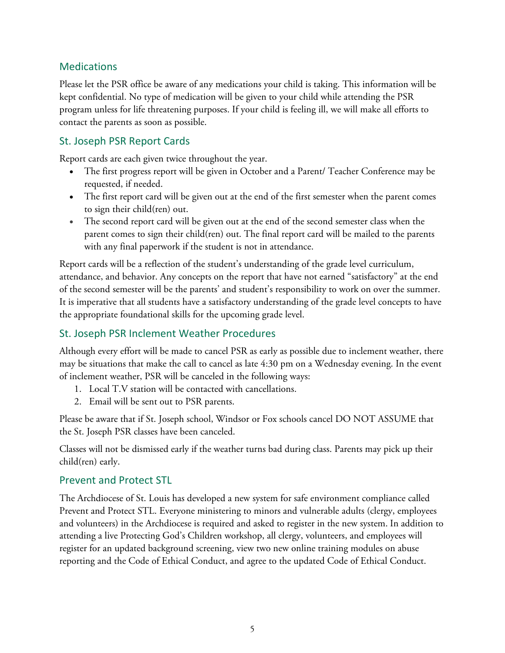# **Medications**

Please let the PSR office be aware of any medications your child is taking. This information will be kept confidential. No type of medication will be given to your child while attending the PSR program unless for life threatening purposes. If your child is feeling ill, we will make all efforts to contact the parents as soon as possible.

# St. Joseph PSR Report Cards

Report cards are each given twice throughout the year.

- The first progress report will be given in October and a Parent/ Teacher Conference may be requested, if needed.
- The first report card will be given out at the end of the first semester when the parent comes to sign their child(ren) out.
- The second report card will be given out at the end of the second semester class when the parent comes to sign their child(ren) out. The final report card will be mailed to the parents with any final paperwork if the student is not in attendance.

Report cards will be a reflection of the student's understanding of the grade level curriculum, attendance, and behavior. Any concepts on the report that have not earned "satisfactory" at the end of the second semester will be the parents' and student's responsibility to work on over the summer. It is imperative that all students have a satisfactory understanding of the grade level concepts to have the appropriate foundational skills for the upcoming grade level.

# St. Joseph PSR Inclement Weather Procedures

Although every effort will be made to cancel PSR as early as possible due to inclement weather, there may be situations that make the call to cancel as late 4:30 pm on a Wednesday evening. In the event of inclement weather, PSR will be canceled in the following ways:

- 1. Local T.V station will be contacted with cancellations.
- 2. Email will be sent out to PSR parents.

Please be aware that if St. Joseph school, Windsor or Fox schools cancel DO NOT ASSUME that the St. Joseph PSR classes have been canceled.

Classes will not be dismissed early if the weather turns bad during class. Parents may pick up their child(ren) early.

## Prevent and Protect STL

The Archdiocese of St. Louis has developed a new system for safe environment compliance called Prevent and Protect STL. Everyone ministering to minors and vulnerable adults (clergy, employees and volunteers) in the Archdiocese is required and asked to register in the new system. In addition to attending a live Protecting God's Children workshop, all clergy, volunteers, and employees will register for an updated background screening, view two new online training modules on abuse reporting and the Code of Ethical Conduct, and agree to the updated Code of Ethical Conduct.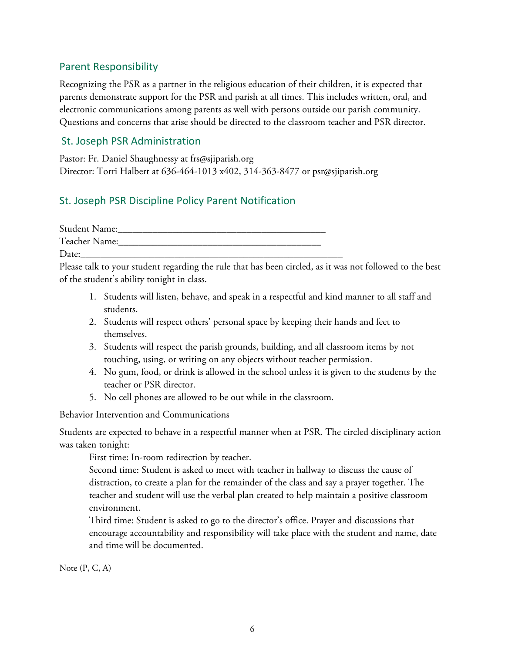## Parent Responsibility

Recognizing the PSR as a partner in the religious education of their children, it is expected that parents demonstrate support for the PSR and parish at all times. This includes written, oral, and electronic communications among parents as well with persons outside our parish community. Questions and concerns that arise should be directed to the classroom teacher and PSR director.

## St. Joseph PSR Administration

Pastor: Fr. Daniel Shaughnessy at frs@sjiparish.org Director: Torri Halbert at 636-464-1013 x402, 314-363-8477 or psr@sjiparish.org

# St. Joseph PSR Discipline Policy Parent Notification

| <b>Student Name:</b> |  |
|----------------------|--|
| Teacher Name:        |  |
| Date:                |  |

Please talk to your student regarding the rule that has been circled, as it was not followed to the best of the student's ability tonight in class.

- 1. Students will listen, behave, and speak in a respectful and kind manner to all staff and students.
- 2. Students will respect others' personal space by keeping their hands and feet to themselves.
- 3. Students will respect the parish grounds, building, and all classroom items by not touching, using, or writing on any objects without teacher permission.
- 4. No gum, food, or drink is allowed in the school unless it is given to the students by the teacher or PSR director.
- 5. No cell phones are allowed to be out while in the classroom.

Behavior Intervention and Communications

Students are expected to behave in a respectful manner when at PSR. The circled disciplinary action was taken tonight:

First time: In-room redirection by teacher.

Second time: Student is asked to meet with teacher in hallway to discuss the cause of distraction, to create a plan for the remainder of the class and say a prayer together. The teacher and student will use the verbal plan created to help maintain a positive classroom environment.

Third time: Student is asked to go to the director's office. Prayer and discussions that encourage accountability and responsibility will take place with the student and name, date and time will be documented.

Note (P, C, A)